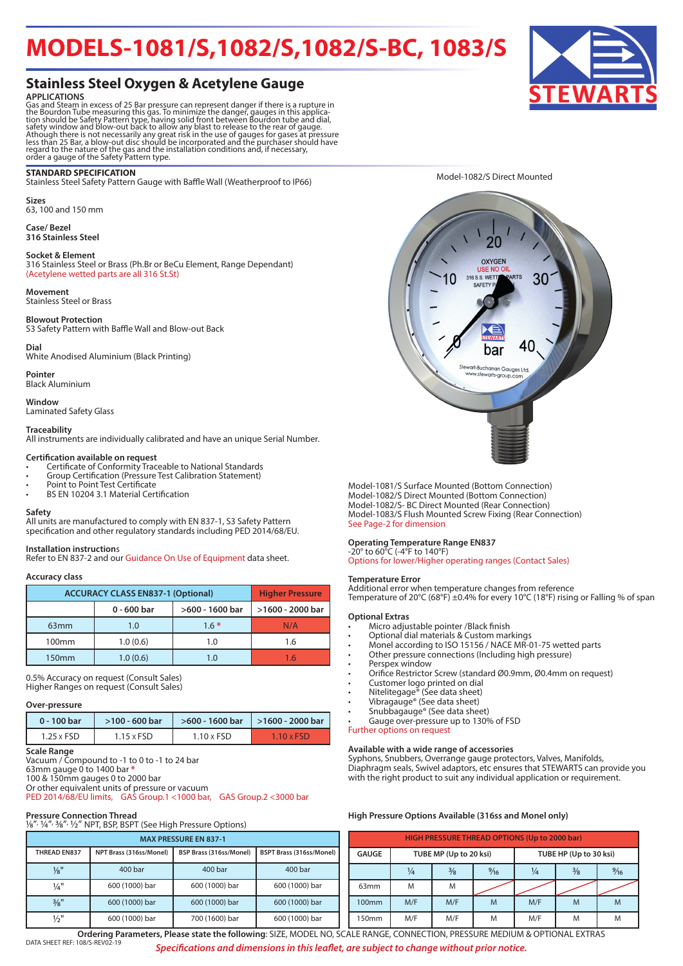## **MODELS-1081/S,1082/S,1082/S-BC, 1083/S**

## **Stainless Steel Oxygen & Acetylene Gauge**

**APPLICATIONS**<br>Gas and Steam in excess of 25 Bar pressure can represent danger if there is a rupture in<br>Gas and Steam in excess of 25 Bar pressure can represent danger, gauges in this applica-<br>tion should be Safety Pattern

#### **STANDARD SPECIFICATION**

Stainless Steel Safety Pattern Gauge with Baffle Wall (Weatherproof to IP66)

**Sizes** 63, 100 and 150 mm

**Case/ Bezel 316 Stainless Steel** 

#### **Socket & Element**

316 Stainless Steel or Brass (Ph.Br or BeCu Element, Range Dependant) (Acetylene wetted parts are all 316 St.St)

#### **Movement**

Stainless Steel or Brass

#### **Blowout Protection**

S3 Safety Pattern with Baffle Wall and Blow-out Back

#### **Dial**

White Anodised Aluminium (Black Printing)

**Pointer** Black Aluminium

**Window** Laminated Safety Glass

#### **Traceability**

All instruments are individually calibrated and have an unique Serial Number.

#### **Certification available on request**

- Certificate of Conformity Traceable to National Standards
- Group Certification (Pressure Test Calibration Statement)
- Point to Point Test Certificate
- BS EN 10204 3.1 Material Certification

#### **Safety**

All units are manufactured to comply with EN 837-1, S3 Safety Pattern specification and other regulatory standards including PED 2014/68/EU.

#### **Installation instruction**s

Refer to EN 837-2 and our Guidance On Use of Equipment data sheet.

#### **Accuracy class**

| <b>ACCURACY CLASS EN837-1 (Optional)</b> | <b>Higher Pressure</b> |                  |     |  |
|------------------------------------------|------------------------|------------------|-----|--|
|                                          | $0 - 600$ bar          | >1600 - 2000 bar |     |  |
| 63 <sub>mm</sub>                         | 1.0                    | $1.6*$           | N/A |  |
| 100 <sub>mm</sub>                        | 1.0(0.6)               | 1.0              | 1.6 |  |
| 150 <sub>mm</sub>                        | 1.0(0.6)               | 1.0              |     |  |

0.5% Accuracy on request (Consult Sales) Higher Ranges on request (Consult Sales)

#### **Over-pressure**

| 0 - 100 bar       | $>100 - 600$ bar  |                   | $>600 - 1600$ bar   $>1600 - 2000$ bar |  |  |
|-------------------|-------------------|-------------------|----------------------------------------|--|--|
| $1.25 \times FSD$ | $1.15 \times FSD$ | $1.10 \times FSD$ | $1.10 \times FSD$                      |  |  |

#### **Scale Range**

Vacuum / Compound to -1 to 0 to -1 to 24 bar

63mm gauge 0 to 1400 bar **\***

100 & 150mm gauges 0 to 2000 bar

Or other equivalent units of pressure or vacuum PED 2014/68/EU limits, GAS Group.1 <1000 bar, GAS Group.2 <3000 bar

#### **Pressure Connection Thread**

| 1/8", 1/4", 3/8", 1/2" NPT, BSP, BSPT (See High Pressure Options) |                                                                                       |                |                |  |  |  |  |  |  |
|-------------------------------------------------------------------|---------------------------------------------------------------------------------------|----------------|----------------|--|--|--|--|--|--|
| <b>MAX PRESSURE EN 837-1</b>                                      |                                                                                       |                |                |  |  |  |  |  |  |
| <b>THREAD EN837</b>                                               | <b>BSPT Brass (316ss/Monel)</b><br>NPT Brass (316ss/Monel)<br>BSP Brass (316ss/Monel) |                |                |  |  |  |  |  |  |
| $\frac{1}{8}$ "                                                   | 400 bar                                                                               | 400 bar        | 400 bar        |  |  |  |  |  |  |
| $\frac{1}{4}$ "                                                   | 600 (1000) bar                                                                        | 600 (1000) bar | 600 (1000) bar |  |  |  |  |  |  |
| $\frac{3}{8}$ "                                                   | 600 (1000) bar                                                                        | 600 (1000) bar | 600 (1000) bar |  |  |  |  |  |  |
| $\frac{1}{2}$ "                                                   | 600 (1000) bar                                                                        | 700 (1600) bar | 600 (1000) bar |  |  |  |  |  |  |

Model-1082/S Direct Mounted



Model-1081/S Surface Mounted (Bottom Connection) Model-1082/S Direct Mounted (Bottom Connection) Model-1082/S- BC Direct Mounted (Rear Connection) Model-1083/S Flush Mounted Screw Fixing (Rear Connection) See Page-2 for dimension

#### **Operating Temperature Range EN837**

## -20° to 60°C (-4°F to 140°F)

Options for lower/Higher operating ranges (Contact Sales)

#### **Temperature Error**

Additional error when temperature changes from reference Temperature of 20°C (68°F) ±0.4% for every 10°C (18°F) rising or Falling % of span

#### **Optional Extras**

- Micro adjustable pointer /Black finish
- Optional dial materials & Custom markings
- Monel according to ISO 15156 / NACE MR-01-75 wetted parts
- Other pressure connections (Including high pressure)
- Perspex window
- Orifice Restrictor Screw (standard Ø0.9mm, Ø0.4mm on request)
- Customer logo printed on dial
- Nitelitegage® (See data sheet)
- Vibragauge<sup>®</sup> (See data sheet)
- Snubbagauge® (See data sheet) • Gauge over-pressure up to 130% of FSD
- Further options on request

## **Available with a wide range of accessories**

Syphons, Snubbers, Overrange gauge protectors, Valves, Manifolds, Diaphragm seals, Swivel adaptors, etc ensures that STEWARTS can provide you with the right product to suit any individual application or requirement.

#### **High Pressure Options Available (316ss and Monel only)**

| <b>HIGH PRESSURE THREAD OPTIONS (Up to 2000 bar)</b> |               |                        |                |                        |               |                |  |  |  |
|------------------------------------------------------|---------------|------------------------|----------------|------------------------|---------------|----------------|--|--|--|
| <b>GAUGE</b>                                         |               | TUBE MP (Up to 20 ksi) |                | TUBE HP (Up to 30 ksi) |               |                |  |  |  |
|                                                      | $\frac{1}{4}$ | $\frac{3}{8}$          | $\frac{9}{16}$ |                        | $\frac{3}{8}$ | $\frac{9}{16}$ |  |  |  |
| 63mm                                                 | M             | M                      |                |                        |               |                |  |  |  |
| 100 <sub>mm</sub>                                    | M/F           | M/F                    | M              | M/F                    | M             | M              |  |  |  |
| 150mm                                                | M/F           | M/F                    | M              | M/F                    | M             | M              |  |  |  |



DATA SHEET REF: 108/S-REV02 *Specifications and dimensions in this leaflet, are subject to change without prior notice.* **Ordering Parameters, Please state the following**: SIZE, MODEL NO, SCALE RANGE, CONNECTION, PRESSURE MEDIUM & OPTIONAL EXTRAS